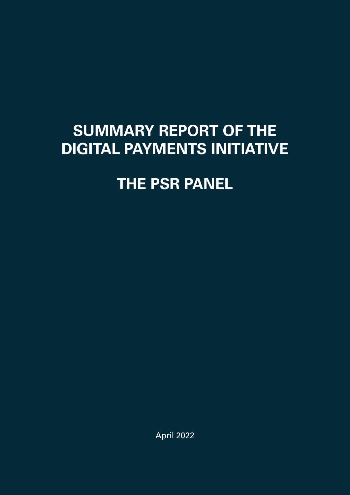# **SUMMARY REPORT OF THE DIGITAL PAYMENTS INITIATIVE**

# **THE PSR PANEL**

April 2022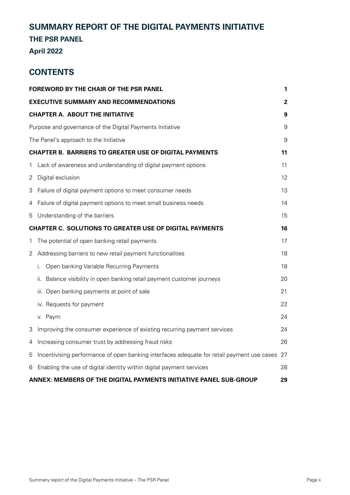# **SUMMARY REPORT OF THE DIGITAL PAYMENTS INITIATIVE**

# **THE PSR PANEL**

# **April 2022**

# **CONTENTS**

|   | <b>FOREWORD BY THE CHAIR OF THE PSR PANEL</b>                                              | 1           |
|---|--------------------------------------------------------------------------------------------|-------------|
|   | <b>EXECUTIVE SUMMARY AND RECOMMENDATIONS</b>                                               | $\mathbf 2$ |
|   | <b>CHAPTER A. ABOUT THE INITIATIVE</b>                                                     | 9           |
|   | Purpose and governance of the Digital Payments Initiative                                  | 9           |
|   | The Panel's approach to the Initiative                                                     | 9           |
|   | <b>CHAPTER B. BARRIERS TO GREATER USE OF DIGITAL PAYMENTS</b>                              | 11          |
| 1 | Lack of awareness and understanding of digital payment options                             | 11          |
| 2 | Digital exclusion                                                                          | 12          |
| 3 | Failure of digital payment options to meet consumer needs                                  | 13          |
| 4 | Failure of digital payment options to meet small business needs                            | 14          |
| 5 | Understanding of the barriers                                                              | 15          |
|   | <b>CHAPTER C. SOLUTIONS TO GREATER USE OF DIGITAL PAYMENTS</b>                             | 16          |
| 1 | The potential of open banking retail payments                                              | 17          |
| 2 | Addressing barriers to new retail payment functionalities                                  | 18          |
|   | Open banking Variable Recurring Payments<br>İ.                                             | 18          |
|   | Balance visibility in open banking retail payment customer journeys<br>ii.                 | 20          |
|   | iii. Open banking payments at point of sale                                                | 21          |
|   | iv. Requests for payment                                                                   | 22          |
|   | v. Paym                                                                                    | 24          |
| 3 | Improving the consumer experience of existing recurring payment services                   | 24          |
| 4 | Increasing consumer trust by addressing fraud risks                                        | 26          |
| 5 | Incentivising performance of open banking interfaces adequate for retail payment use cases | 27          |
| 6 | Enabling the use of digital identity within digital payment services                       | 28          |
|   | ANNEX: MEMBERS OF THE DIGITAL PAYMENTS INITIATIVE PANEL SUB-GROUP                          | 29          |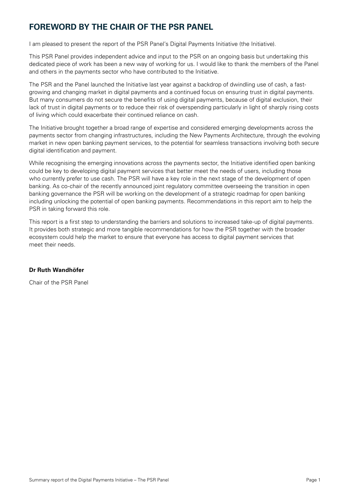# <span id="page-2-0"></span>**FOREWORD BY THE CHAIR OF THE PSR PANEL**

I am pleased to present the report of the PSR Panel's Digital Payments Initiative (the Initiative).

This PSR Panel provides independent advice and input to the PSR on an ongoing basis but undertaking this dedicated piece of work has been a new way of working for us. I would like to thank the members of the Panel and others in the payments sector who have contributed to the Initiative.

The PSR and the Panel launched the Initiative last year against a backdrop of dwindling use of cash, a fastgrowing and changing market in digital payments and a continued focus on ensuring trust in digital payments. But many consumers do not secure the benefits of using digital payments, because of digital exclusion, their lack of trust in digital payments or to reduce their risk of overspending particularly in light of sharply rising costs of living which could exacerbate their continued reliance on cash.

The Initiative brought together a broad range of expertise and considered emerging developments across the payments sector from changing infrastructures, including the New Payments Architecture, through the evolving market in new open banking payment services, to the potential for seamless transactions involving both secure digital identification and payment.

While recognising the emerging innovations across the payments sector, the Initiative identified open banking could be key to developing digital payment services that better meet the needs of users, including those who currently prefer to use cash. The PSR will have a key role in the next stage of the development of open banking. As co-chair of the recently announced joint regulatory committee overseeing the transition in open banking governance the PSR will be working on the development of a strategic roadmap for open banking including unlocking the potential of open banking payments. Recommendations in this report aim to help the PSR in taking forward this role.

This report is a first step to understanding the barriers and solutions to increased take-up of digital payments. It provides both strategic and more tangible recommendations for how the PSR together with the broader ecosystem could help the market to ensure that everyone has access to digital payment services that meet their needs.

#### **Dr Ruth Wandhöfer**

Chair of the PSR Panel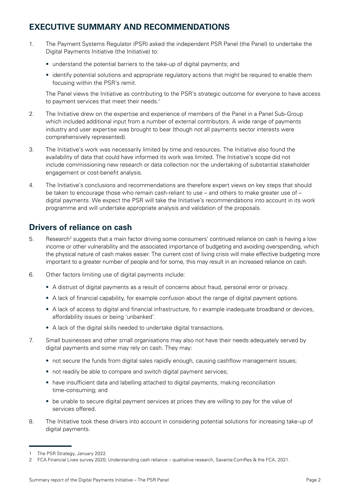# <span id="page-3-0"></span>**EXECUTIVE SUMMARY AND RECOMMENDATIONS**

- 1. The Payment Systems Regulator (PSR) asked the independent PSR Panel (the Panel) to undertake the Digital Payments Initiative (the Initiative) to:
	- understand the potential barriers to the take-up of digital payments; and
	- identify potential solutions and appropriate regulatory actions that might be required to enable them focusing within the PSR's remit.

The Panel views the Initiative as contributing to the PSR's strategic outcome for everyone to have access to payment services that meet their needs.<sup>1</sup>

- 2. The Initiative drew on the expertise and experience of members of the Panel in a Panel Sub-Group which included additional input from a number of external contributors. A wide range of payments industry and user expertise was brought to bear (though not all payments sector interests were comprehensively represented).
- 3. The Initiative's work was necessarily limited by time and resources. The Initiative also found the availability of data that could have informed its work was limited. The Initiative's scope did not include commissioning new research or data collection nor the undertaking of substantial stakeholder engagement or cost-benefit analysis.
- 4. The Initiative's conclusions and recommendations are therefore expert views on key steps that should be taken to encourage those who remain cash-reliant to use – and others to make greater use of – digital payments. We expect the PSR will take the Initiative's recommendations into account in its work programme and will undertake appropriate analysis and validation of the proposals.

# **Drivers of reliance on cash**

- 5. Research<sup>2</sup> suggests that a main factor driving some consumers' continued reliance on cash is having a low income or other vulnerability and the associated importance of budgeting and avoiding overspending, which the physical nature of cash makes easier. The current cost of living crisis will make effective budgeting more important to a greater number of people and for some, this may result in an increased reliance on cash.
- 6. Other factors limiting use of digital payments include:
	- A distrust of digital payments as a result of concerns about fraud, personal error or privacy.
	- A lack of financial capability, for example confusion about the range of digital payment options.
	- A lack of access to digital and financial infrastructure, fo r example inadequate broadband or devices, affordability issues or being 'unbanked'.
	- A lack of the digital skills needed to undertake digital transactions.
- 7. Small businesses and other small organisations may also not have their needs adequately served by digital payments and some may rely on cash. They may:
	- not secure the funds from digital sales rapidly enough, causing cashflow management issues;
	- not readily be able to compare and switch digital payment services;
	- have insufficient data and labelling attached to digital payments, making reconciliation time-consuming; and
	- be unable to secure digital payment services at prices they are willing to pay for the value of services offered.
- 8. The Initiative took these drivers into account in considering potential solutions for increasing take-up of digital payments.

The PSR Strategy, January 2022.

<sup>2</sup> FCA Financial Lives survey 2020; Understanding cash reliance – qualitative research, Savanta:ComRes & the FCA, 2021.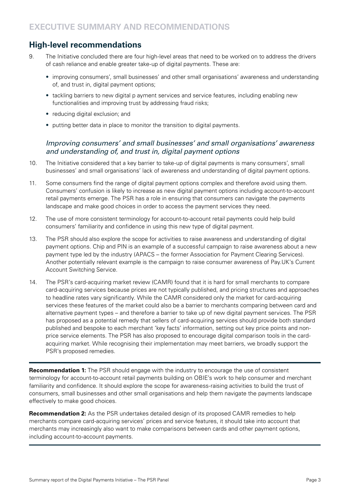# **High-level recommendations**

- 9. The Initiative concluded there are four high-level areas that need to be worked on to address the drivers of cash reliance and enable greater take-up of digital payments. These are:
	- improving consumers', small businesses' and other small organisations' awareness and understanding of, and trust in, digital payment options;
	- tackling barriers to new digital p ayment services and service features, including enabling new functionalities and improving trust by addressing fraud risks;
	- reducing digital exclusion; and
	- putting better data in place to monitor the transition to digital payments.

## *Improving consumers' and small businesses' and small organisations' awareness*  and understanding of, and trust in, digital payment options

- 10. The Initiative considered that a key barrier to take-up of digital payments is many consumers', small businesses' and small organisations' lack of awareness and understanding of digital payment options.
- 11. Some consumers find the range of digital payment options complex and therefore avoid using them. Consumers' confusion is likely to increase as new digital payment options including account-to-account retail payments emerge. The PSR has a role in ensuring that consumers can navigate the payments landscape and make good choices in order to access the payment services they need.
- 12. The use of more consistent terminology for account-to-account retail payments could help build consumers' familiarity and confidence in using this new type of digital payment.
- 13. The PSR should also explore the scope for activities to raise awareness and understanding of digital payment options. Chip and PIN is an example of a successful campaign to raise awareness about a new payment type led by the industry (APACS – the former Association for Payment Clearing Services). Another potentially relevant example is the campaign to raise consumer awareness of Pay.UK's Current Account Switching Service.
- 14. The PSR's card-acquiring market review (CAMR) found that it is hard for small merchants to compare card-acquiring services because prices are not typically published, and pricing structures and approaches to headline rates vary significantly. While the CAMR considered only the market for card-acquiring services these features of the market could also be a barrier to merchants comparing between card and alternative payment types – and therefore a barrier to take up of new digital payment services. The PSR has proposed as a potential remedy that sellers of card-acquiring services should provide both standard published and bespoke to each merchant 'key facts' information, setting out key price points and nonprice service elements. The PSR has also proposed to encourage digital comparison tools in the cardacquiring market. While recognising their implementation may meet barriers, we broadly support the PSR's proposed remedies.

**Recommendation 1:** The PSR should engage with the industry to encourage the use of consistent terminology for account-to-account retail payments building on OBIE's work to help consumer and merchant familiarity and confidence. It should explore the scope for awareness-raising activities to build the trust of consumers, small businesses and other small organisations and help them navigate the payments landscape effectively to make good choices.

**Recommendation 2:** As the PSR undertakes detailed design of its proposed CAMR remedies to help merchants compare card-acquiring services' prices and service features, it should take into account that merchants may increasingly also want to make comparisons between cards and other payment options, including account-to-account payments.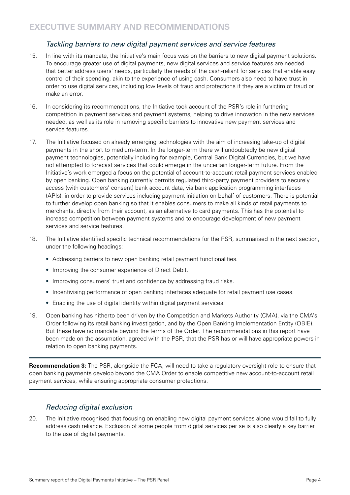## Tackling barriers to new digital payment services and service features

- 15. In line with its mandate, the Initiative's main focus was on the barriers to new digital payment solutions. To encourage greater use of digital payments, new digital services and service features are needed that better address users' needs, particularly the needs of the cash-reliant for services that enable easy control of their spending, akin to the experience of using cash. Consumers also need to have trust in order to use digital services, including low levels of fraud and protections if they are a victim of fraud or make an error.
- 16. In considering its recommendations, the Initiative took account of the PSR's role in furthering competition in payment services and payment systems, helping to drive innovation in the new services needed, as well as its role in removing specific barriers to innovative new payment services and service features.
- 17. The Initiative focused on already emerging technologies with the aim of increasing take-up of digital payments in the short to medium-term. In the longer-term there will undoubtedly be new digital payment technologies, potentially including for example, Central Bank Digital Currencies, but we have not attempted to forecast services that could emerge in the uncertain longer-term future. From the Initiative's work emerged a focus on the potential of account-to-account retail payment services enabled by open banking. Open banking currently permits regulated third-party payment providers to securely access (with customers' consent) bank account data, via bank application programming interfaces (APIs), in order to provide services including payment initiation on behalf of customers. There is potential to further develop open banking so that it enables consumers to make all kinds of retail payments to merchants, directly from their account, as an alternative to card payments. This has the potential to increase competition between payment systems and to encourage development of new payment services and service features.
- 18. The Initiative identified specific technical recommendations for the PSR, summarised in the next section, under the following headings:
	- Addressing barriers to new open banking retail payment functionalities.
	- Improving the consumer experience of Direct Debit.
	- Improving consumers' trust and confidence by addressing fraud risks.
	- Incentivising performance of open banking interfaces adequate for retail payment use cases.
	- Enabling the use of digital identity within digital payment services.
- 19. Open banking has hitherto been driven by the Competition and Markets Authority (CMA), via the CMA's Order following its retail banking investigation, and by the Open Banking Implementation Entity (OBIE). But these have no mandate beyond the terms of the Order. The recommendations in this report have been made on the assumption, agreed with the PSR, that the PSR has or will have appropriate powers in relation to open banking payments.

**Recommendation 3:** The PSR, alongside the FCA, will need to take a regulatory oversight role to ensure that open banking payments develop beyond the CMA Order to enable competitive new account-to-account retail payment services, while ensuring appropriate consumer protections.

## *Reducing digital exclusion*

20. The Initiative recognised that focusing on enabling new digital payment services alone would fail to fully address cash reliance. Exclusion of some people from digital services per se is also clearly a key barrier to the use of digital payments.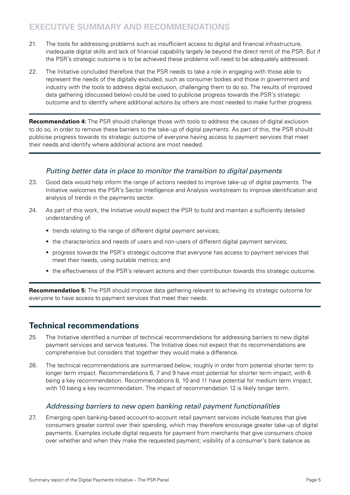# **EXECUTIVE SUMMARY AND RECOMMENDATIONS**

- 21. The tools for addressing problems such as insufficient access to digital and financial infrastructure, inadequate digital skills and lack of financial capability largely lie beyond the direct remit of the PSR. But if the PSR's strategic outcome is to be achieved these problems will need to be adequately addressed.
- 22. The Initiative concluded therefore that the PSR needs to take a role in engaging with those able to represent the needs of the digitally excluded, such as consumer bodies and those in government and industry with the tools to address digital exclusion, challenging them to do so. The results of improved data gathering (discussed below) could be used to publicise progress towards the PSR's strategic outcome and to identify where additional actions by others are most needed to make further progress.

**Recommendation 4:** The PSR should challenge those with tools to address the causes of digital exclusion to do so, in order to remove these barriers to the take-up of digital payments. As part of this, the PSR should publicise progress towards its strategic outcome of everyone having access to payment services that meet their needs and identify where additional actions are most needed.

## Putting better data in place to monitor the transition to digital payments

- 23. Good data would help inform the range of actions needed to improve take-up of digital payments. The Initiative welcomes the PSR's Sector Intelligence and Analysis workstream to improve identification and analysis of trends in the payments sector.
- 24. As part of this work, the Initiative would expect the PSR to build and maintain a sufficiently detailed understanding of:
	- trends relating to the range of different digital payment services;
	- the characteristics and needs of users and non-users of different digital payment services;
	- progress towards the PSR's strategic outcome that everyone has access to payment services that meet their needs, using suitable metrics; and
	- the effectiveness of the PSR's relevant actions and their contribution towards this strategic outcome.

**Recommendation 5:** The PSR should improve data gathering relevant to achieving its strategic outcome for everyone to have access to payment services that meet their needs.

# **Technical recommendations**

- 25. The Initiative identified a number of technical recommendations for addressing barriers to new digital payment services and service features. The Initiative does not expect that its recommendations are comprehensive but considers that together they would make a difference.
- 26. The technical recommendations are summarised below, roughly in order from potential shorter term to longer term impact. Recommendations 6, 7 and 9 have most potential for shorter term impact, with 6 being a key recommendation. Recommendations 8, 10 and 11 have potential for medium term impact, with 10 being a key recommendation. The impact of recommendation 12 is likely longer term.

## Addressing barriers to new open banking retail payment functionalities

27. Emerging open banking-based account-to-account retail payment services include features that give consumers greater control over their spending, which may therefore encourage greater take-up of digital payments. Examples include digital requests for payment from merchants that give consumers choice over whether and when they make the requested payment; visibility of a consumer's bank balance as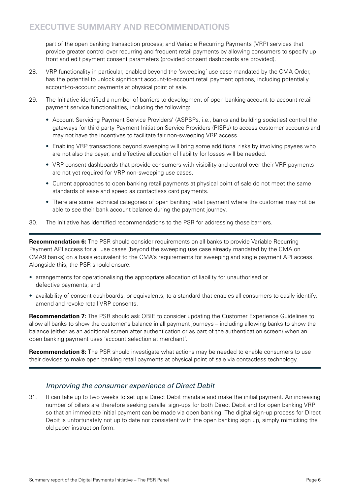part of the open banking transaction process; and Variable Recurring Payments (VRP) services that provide greater control over recurring and frequent retail payments by allowing consumers to specify up front and edit payment consent parameters (provided consent dashboards are provided).

- 28. VRP functionality in particular, enabled beyond the 'sweeping' use case mandated by the CMA Order, has the potential to unlock significant account-to-account retail payment options, including potentially account-to-account payments at physical point of sale.
- 29. The Initiative identified a number of barriers to development of open banking account-to-account retail payment service functionalities, including the following:
	- Account Servicing Payment Service Providers' (ASPSPs, i.e., banks and building societies) control the gateways for third party Payment Initiation Service Providers (PISPs) to access customer accounts and may not have the incentives to facilitate fair non-sweeping VRP access.
	- Enabling VRP transactions beyond sweeping will bring some additional risks by involving payees who are not also the payer, and effective allocation of liability for losses will be needed.
	- VRP consent dashboards that provide consumers with visibility and control over their VRP payments are not yet required for VRP non-sweeping use cases.
	- Current approaches to open banking retail payments at physical point of sale do not meet the same standards of ease and speed as contactless card payments.
	- There are some technical categories of open banking retail payment where the customer may not be able to see their bank account balance during the payment journey.
- 30. The Initiative has identified recommendations to the PSR for addressing these barriers.

**Recommendation 6:** The PSR should consider requirements on all banks to provide Variable Recurring Payment API access for all use cases (beyond the sweeping use case already mandated by the CMA on CMA9 banks) on a basis equivalent to the CMA's requirements for sweeping and single payment API access. Alongside this, the PSR should ensure:

- arrangements for operationalising the appropriate allocation of liability for unauthorised or defective payments; and
- availability of consent dashboards, or equivalents, to a standard that enables all consumers to easily identify, amend and revoke retail VRP consents.

**Recommendation 7:** The PSR should ask OBIE to consider updating the Customer Experience Guidelines to allow all banks to show the customer's balance in all payment journeys – including allowing banks to show the balance (either as an additional screen after authentication or as part of the authentication screen) when an open banking payment uses 'account selection at merchant'.

**Recommendation 8:** The PSR should investigate what actions may be needed to enable consumers to use their devices to make open banking retail payments at physical point of sale via contactless technology.

# *Improving the consumer experience of Direct Debit*

31. It can take up to two weeks to set up a Direct Debit mandate and make the initial payment. An increasing number of billers are therefore seeking parallel sign-ups for both Direct Debit and for open banking VRP so that an immediate initial payment can be made via open banking. The digital sign-up process for Direct Debit is unfortunately not up to date nor consistent with the open banking sign up, simply mimicking the old paper instruction form.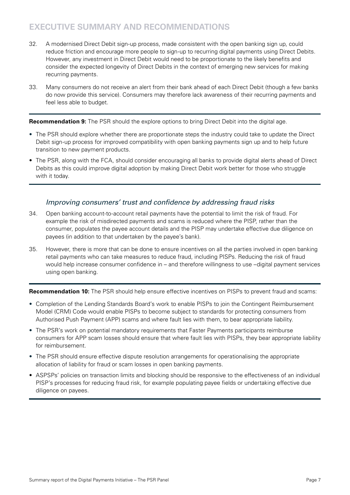# **EXECUTIVE SUMMARY AND RECOMMENDATIONS**

- 32. A modernised Direct Debit sign-up process, made consistent with the open banking sign up, could reduce friction and encourage more people to sign-up to recurring digital payments using Direct Debits. However, any investment in Direct Debit would need to be proportionate to the likely benefits and consider the expected longevity of Direct Debits in the context of emerging new services for making recurring payments.
- 33. Many consumers do not receive an alert from their bank ahead of each Direct Debit (though a few banks do now provide this service). Consumers may therefore lack awareness of their recurring payments and feel less able to budget.

**Recommendation 9:** The PSR should the explore options to bring Direct Debit into the digital age.

- The PSR should explore whether there are proportionate steps the industry could take to update the Direct Debit sign-up process for improved compatibility with open banking payments sign up and to help future transition to new payment products.
- The PSR, along with the FCA, should consider encouraging all banks to provide digital alerts ahead of Direct Debits as this could improve digital adoption by making Direct Debit work better for those who struggle with it today.

## Improving consumers' trust and confidence by addressing fraud risks

- 34. Open banking account-to-account retail payments have the potential to limit the risk of fraud. For example the risk of misdirected payments and scams is reduced where the PISP, rather than the consumer, populates the payee account details and the PISP may undertake effective due diligence on payees (in addition to that undertaken by the payee's bank).
- 35. However, there is more that can be done to ensure incentives on all the parties involved in open banking retail payments who can take measures to reduce fraud, including PISPs. Reducing the risk of fraud would help increase consumer confidence in – and therefore willingness to use –digital payment services using open banking.

**Recommendation 10:** The PSR should help ensure effective incentives on PISPs to prevent fraud and scams:

- Completion of the Lending Standards Board's work to enable PISPs to join the Contingent Reimbursement Model (CRM) Code would enable PISPs to become subject to standards for protecting consumers from Authorised Push Payment (APP) scams and where fault lies with them, to bear appropriate liability.
- The PSR's work on potential mandatory requirements that Faster Payments participants reimburse consumers for APP scam losses should ensure that where fault lies with PISPs, they bear appropriate liability for reimbursement.
- The PSR should ensure effective dispute resolution arrangements for operationalising the appropriate allocation of liability for fraud or scam losses in open banking payments.
- ASPSPs' policies on transaction limits and blocking should be responsive to the effectiveness of an individual PISP's processes for reducing fraud risk, for example populating payee fields or undertaking effective due diligence on payees.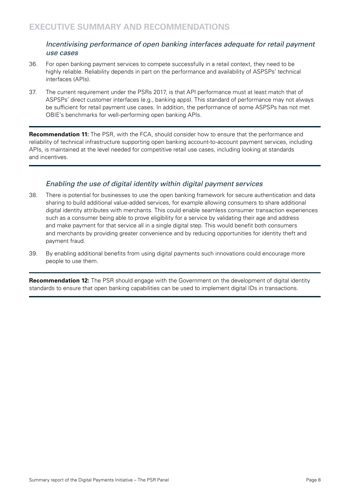#### Incentivising performance of open banking interfaces adequate for retail payment *use cases*

- 36. For open banking payment services to compete successfully in a retail context, they need to be highly reliable. Reliability depends in part on the performance and availability of ASPSPs' technical interfaces (APIs).
- 37. The current requirement under the PSRs 2017, is that API performance must at least match that of ASPSPs' direct customer interfaces (e.g., banking apps). This standard of performance may not always be sufficient for retail payment use cases. In addition, the performance of some ASPSPs has not met OBIE's benchmarks for well-performing open banking APIs.

**Recommendation 11:** The PSR, with the FCA, should consider how to ensure that the performance and reliability of technical infrastructure supporting open banking account-to-account payment services, including APIs, is maintained at the level needed for competitive retail use cases, including looking at standards and incentives.

## Enabling the use of digital identity within digital payment services

- 38. There is potential for businesses to use the open banking framework for secure authentication and data sharing to build additional value-added services, for example allowing consumers to share additional digital identity attributes with merchants. This could enable seamless consumer transaction experiences such as a consumer being able to prove eligibility for a service by validating their age and address and make payment for that service all in a single digital step. This would benefit both consumers and merchants by providing greater convenience and by reducing opportunities for identity theft and payment fraud.
- 39. By enabling additional benefits from using digital payments such innovations could encourage more people to use them.

**Recommendation 12:** The PSR should engage with the Government on the development of digital identity standards to ensure that open banking capabilities can be used to implement digital IDs in transactions.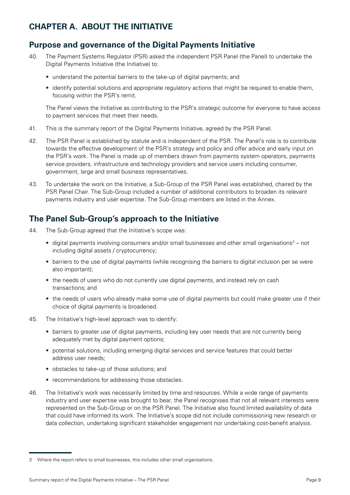# <span id="page-10-0"></span>**CHAPTER A. ABOUT THE INITIATIVE**

# **Purpose and governance of the Digital Payments Initiative**

- 40. The Payment Systems Regulator (PSR) asked the independent PSR Panel (the Panel) to undertake the Digital Payments Initiative (the Initiative) to:
	- understand the potential barriers to the take-up of digital payments; and
	- identify potential solutions and appropriate regulatory actions that might be required to enable them, focusing within the PSR's remit.

The Panel views the Initiative as contributing to the PSR's strategic outcome for everyone to have access to payment services that meet their needs.

- 41. This is the summary report of the Digital Payments Initiative, agreed by the PSR Panel.
- 42. The PSR Panel is established by statute and is independent of the PSR. The Panel's role is to contribute towards the effective development of the PSR's strategy and policy and offer advice and early input on the PSR's work. The Panel is made up of members drawn from payments system operators, payments service providers, infrastructure and technology providers and service users including consumer, government, large and small business representatives.
- 43. To undertake the work on the Initiative, a Sub-Group of the PSR Panel was established, chaired by the PSR Panel Chair. The Sub-Group included a number of additional contributors to broaden its relevant payments industry and user expertise. The Sub-Group members are listed in the Annex.

# **The Panel Sub-Group's approach to the Initiative**

- 44. The Sub-Group agreed that the Initiative's scope was:
	- $\bullet$  digital payments involving consumers and/or small businesses and other small organisations<sup>3</sup> not including digital assets / cryptocurrency;
	- barriers to the use of digital payments (while recognising the barriers to digital inclusion per se were also important);
	- the needs of users who do not currently use digital payments, and instead rely on cash transactions; and
	- the needs of users who already make some use of digital payments but could make greater use if their choice of digital payments is broadened.
- 45. The Initiative's high-level approach was to identify:
	- barriers to greater use of digital payments, including key user needs that are not currently being adequately met by digital payment options;
	- potential solutions, including emerging digital services and service features that could better address user needs;
	- obstacles to take-up of those solutions; and
	- recommendations for addressing those obstacles.
- 46. The Initiative's work was necessarily limited by time and resources. While a wide range of payments industry and user expertise was brought to bear, the Panel recognises that not all relevant interests were represented on the Sub-Group or on the PSR Panel. The Initiative also found limited availability of data that could have informed its work. The Initiative's scope did not include commissioning new research or data collection, undertaking significant stakeholder engagement nor undertaking cost-benefit analysis.

<sup>3</sup> Where the report refers to small businesses, this includes other small organisations.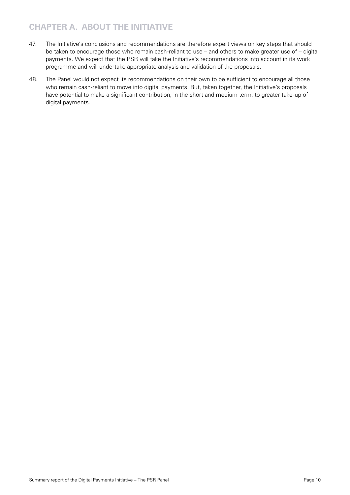# **CHAPTER A. ABOUT THE INITIATIVE**

- 47. The Initiative's conclusions and recommendations are therefore expert views on key steps that should be taken to encourage those who remain cash-reliant to use – and others to make greater use of – digital payments. We expect that the PSR will take the Initiative's recommendations into account in its work programme and will undertake appropriate analysis and validation of the proposals.
- 48. The Panel would not expect its recommendations on their own to be sufficient to encourage all those who remain cash-reliant to move into digital payments. But, taken together, the Initiative's proposals have potential to make a significant contribution, in the short and medium term, to greater take-up of digital payments.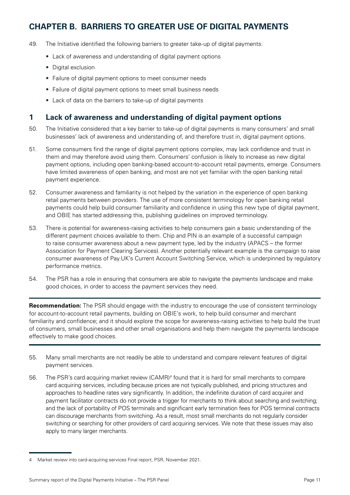# <span id="page-12-0"></span>**CHAPTER B. BARRIERS TO GREATER USE OF DIGITAL PAYMENTS**

- 49. The Initiative identified the following barriers to greater take-up of digital payments:
	- Lack of awareness and understanding of digital payment options
	- Digital exclusion
	- Failure of digital payment options to meet consumer needs
	- Failure of digital payment options to meet small business needs
	- Lack of data on the barriers to take-up of digital payments

# **1 Lack of awareness and understanding of digital payment options**

- 50. The Initiative considered that a key barrier to take-up of digital payments is many consumers' and small businesses' lack of awareness and understanding of, and therefore trust in, digital payment options.
- 51. Some consumers find the range of digital payment options complex, may lack confidence and trust in them and may therefore avoid using them. Consumers' confusion is likely to increase as new digital payment options, including open banking-based account-to-account retail payments, emerge. Consumers have limited awareness of open banking, and most are not yet familiar with the open banking retail payment experience.
- 52. Consumer awareness and familiarity is not helped by the variation in the experience of open banking retail payments between providers. The use of more consistent terminology for open banking retail payments could help build consumer familiarity and confidence in using this new type of digital payment, and OBIE has started addressing this, publishing guidelines on improved terminology.
- 53. There is potential for awareness-raising activities to help consumers gain a basic understanding of the different payment choices available to them. Chip and PIN is an example of a successful campaign to raise consumer awareness about a new payment type, led by the industry (APACS – the former Association for Payment Clearing Services). Another potentially relevant example is the campaign to raise consumer awareness of Pay.UK's Current Account Switching Service, which is underpinned by regulatory performance metrics.
- 54. The PSR has a role in ensuring that consumers are able to navigate the payments landscape and make good choices, in order to access the payment services they need.

**Recommendation:** The PSR should engage with the industry to encourage the use of consistent terminology for account-to-account retail payments, building on OBIE's work, to help build consumer and merchant familiarity and confidence; and it should explore the scope for awareness-raising activities to help build the trust of consumers, small businesses and other small organisations and help them navigate the payments landscape effectively to make good choices.

- 55. Many small merchants are not readily be able to understand and compare relevant features of digital payment services.
- 56. The PSR's card acquiring market review (CAMR)<sup>4</sup> found that it is hard for small merchants to compare card acquiring services, including because prices are not typically published, and pricing structures and approaches to headline rates vary significantly. In addition, the indefinite duration of card acquirer and payment facilitator contracts do not provide a trigger for merchants to think about searching and switching; and the lack of portability of POS terminals and significant early termination fees for POS terminal contracts can discourage merchants from switching. As a result, most small merchants do not regularly consider switching or searching for other providers of card acquiring services. We note that these issues may also apply to many larger merchants.

<sup>4</sup> Market review into card-acquiring services Final report, PSR, November 2021.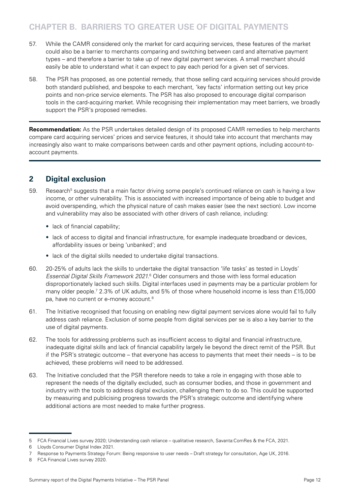# <span id="page-13-0"></span>**CHAPTER B. BARRIERS TO GREATER USE OF DIGITAL PAYMENTS**

- 57. While the CAMR considered only the market for card acquiring services, these features of the market could also be a barrier to merchants comparing and switching between card and alternative payment types – and therefore a barrier to take up of new digital payment services. A small merchant should easily be able to understand what it can expect to pay each period for a given set of services.
- 58. The PSR has proposed, as one potential remedy, that those selling card acquiring services should provide both standard published, and bespoke to each merchant, 'key facts' information setting out key price points and non-price service elements. The PSR has also proposed to encourage digital comparison tools in the card-acquiring market. While recognising their implementation may meet barriers, we broadly support the PSR's proposed remedies.

**Recommendation:** As the PSR undertakes detailed design of its proposed CAMR remedies to help merchants compare card acquiring services' prices and service features, it should take into account that merchants may increasingly also want to make comparisons between cards and other payment options, including account-toaccount payments.

# **2 Digital exclusion**

- 59. Besearch<sup>5</sup> suggests that a main factor driving some people's continued reliance on cash is having a low income, or other vulnerability. This is associated with increased importance of being able to budget and avoid overspending, which the physical nature of cash makes easier (see the next section). Low income and vulnerability may also be associated with other drivers of cash reliance, including:
	- lack of financial capability;
	- lack of access to digital and financial infrastructure, for example inadequate broadband or devices, affordability issues or being 'unbanked'; and
	- lack of the digital skills needed to undertake digital transactions.
- 60. 20-25% of adults lack the skills to undertake the digital transaction 'life tasks' as tested in Lloyds' Essential Digital Skills Framework 2021.<sup>6</sup> Older consumers and those with less formal education disproportionately lacked such skills. Digital interfaces used in payments may be a particular problem for many older people.<sup>7</sup> 2.3% of UK adults, and 5% of those where household income is less than £15,000 pa, have no current or e-money account.<sup>8</sup>
- 61. The Initiative recognised that focusing on enabling new digital payment services alone would fail to fully address cash reliance. Exclusion of some people from digital services per se is also a key barrier to the use of digital payments.
- 62. The tools for addressing problems such as insufficient access to digital and financial infrastructure, inadequate digital skills and lack of financial capability largely lie beyond the direct remit of the PSR. But if the PSR's strategic outcome – that everyone has access to payments that meet their needs – is to be achieved, these problems will need to be addressed.
- 63. The Initiative concluded that the PSR therefore needs to take a role in engaging with those able to represent the needs of the digitally excluded, such as consumer bodies, and those in government and industry with the tools to address digital exclusion, challenging them to do so. This could be supported by measuring and publicising progress towards the PSR's strategic outcome and identifying where additional actions are most needed to make further progress.

<sup>5</sup> FCA Financial Lives survey 2020; Understanding cash reliance – qualitative research, Savanta:ComRes & the FCA, 2021.

<sup>6</sup> Lloyds Consumer Digital Index 2021.

<sup>7</sup> Response to Payments Strategy Forum: Being responsive to user needs – Draft strategy for consultation, Age UK, 2016.

<sup>8</sup> FCA Financial Lives survey 2020.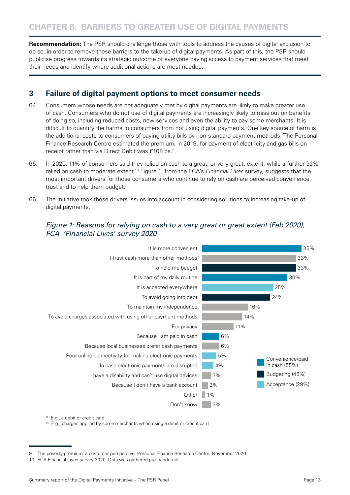<span id="page-14-0"></span>**Recommendation:** The PSR should challenge those with tools to address the causes of digital exclusion to do so, in order to remove these barriers to the take-up of digital payments. As part of this, the PSR should publicise progress towards its strategic outcome of everyone having access to payment services that meet their needs and identify where additional actions are most needed.

# **3 Failure of digital payment options to meet consumer needs**

- 64. Consumers whose needs are not adequately met by digital payments are likely to make greater use of cash. Consumers who do not use of digital payments are increasingly likely to miss out on benefits of doing so, including reduced costs, new services and even the ability to pay some merchants. It is difficult to quantify the harms to consumers from not using digital payments. One key source of harm is the additional costs to consumers of paying utility bills by non-standard payment methods. The Personal Finance Research Centre estimated the premium, in 2019, for payment of electricity and gas bills on receipt rather than via Direct Debit was £108 pa.9
- 65. In 2020, 11% of consumers said they relied on cash to a great, or very great, extent, while a further 32% relied on cash to moderate extent.10 Figure 1, from the FCA's *Financial Lives* survey, suggests that the most important drivers for those consumers who continue to rely on cash are perceived convenience, trust and to help them budget.
- 66. The Initiative took these drivers issues into account in considering solutions to increasing take-up of digital payments.

# Figure 1: Reasons for relying on cash to a very great or great extent (Feb 2020), FCA 'Financial Lives' survey 2020



\* E.g., a debit or credit card.

^ E.g., charges applied by some merchants when using a debit or cred it card

The poverty premium: a customer perspective, Personal Finance Research Centre, November 2020.

<sup>10</sup> FCA Financial Lives survey 2020. Data was gathered pre-pandemic.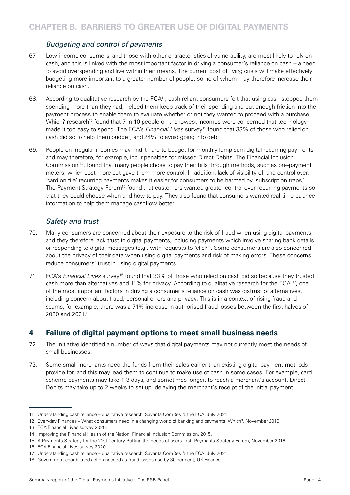## Budgeting and control of payments

- <span id="page-15-0"></span>67. Low-income consumers, and those with other characteristics of vulnerability, are most likely to rely on cash, and this is linked with the most important factor in driving a consumer's reliance on cash – a need to avoid overspending and live within their means. The current cost of living crisis will make effectively budgeting more important to a greater number of people, some of whom may therefore increase their reliance on cash.
- 68. According to qualitative research by the FCA11, cash reliant consumers felt that using cash stopped them spending more than they had, helped them keep track of their spending and put enough friction into the payment process to enable them to evaluate whether or not they wanted to proceed with a purchase. Which? research<sup>12</sup> found that 7 in 10 people on the lowest incomes were concerned that technology made it too easy to spend. The FCA's *Financial Lives* survey13 found that 33% of those who relied on cash did so to help them budget, and 24% to avoid going into debt.
- 69. People on irregular incomes may find it hard to budget for monthly lump sum digital recurring payments and may therefore, for example, incur penalties for missed Direct Debits. The Financial Inclusion Commission 14, found that many people chose to pay their bills through methods, such as pre-payment meters, which cost more but gave them more control. In addition, lack of visibility of, and control over, 'card on file' recurring payments makes it easier for consumers to be harmed by 'subscription traps.' The Payment Strategy Forum<sup>15</sup> found that customers wanted greater control over recurring payments so that they could choose when and how to pay. They also found that consumers wanted real-time balance information to help them manage cashflow better.

## Safety and trust

- 70. Many consumers are concerned about their exposure to the risk of fraud when using digital payments, and they therefore lack trust in digital payments, including payments which involve sharing bank details or responding to digital messages (e.g., with requests to 'click'). Some consumers are also concerned about the privacy of their data when using digital payments and risk of making errors. These concerns reduce consumers' trust in using digital payments.
- 71. FCA's *Financial Lives* survey16 found that 33% of those who relied on cash did so because they trusted cash more than alternatives and 11% for privacy. According to qualitative research for the FCA 17, one of the most important factors in driving a consumer's reliance on cash was distrust of alternatives, including concern about fraud, personal errors and privacy. This is in a context of rising fraud and scams, for example, there was a 71% increase in authorised fraud losses between the first halves of 2020 and 2021.18

# **4 Failure of digital payment options to meet small business needs**

- 72. The Initiative identified a number of ways that digital payments may not currently meet the needs of small businesses.
- 73. Some small merchants need the funds from their sales earlier than existing digital payment methods provide for, and this may lead them to continue to make use of cash in some cases. For example, card scheme payments may take 1-3 days, and sometimes longer, to reach a merchant's account. Direct Debits may take up to 2 weeks to set up, delaying the merchant's receipt of the initial payment.

<sup>11</sup> Understanding cash reliance – qualitative research, Savanta:ComRes & the FCA, July 2021.

<sup>12</sup> Everyday Finances – What consumers need in a changing world of banking and payments, Which?, November 2019.

<sup>13</sup> FCA Financial Lives survey 2020.

<sup>14</sup> Improving the Financial Health of the Nation, Financial Inclusion Commission, 2015.

<sup>15</sup> A Payments Strategy for the 21st Century Putting the needs of users first, Payments Strategy Forum, November 2016.

<sup>16</sup> FCA Financial Lives survey 2020.

<sup>17</sup> Understanding cash reliance – qualitative research, Savanta:ComRes & the FCA, July 2021.

<sup>18</sup> Government-coordinated action needed as fraud losses rise by 30 per cent, UK Finance.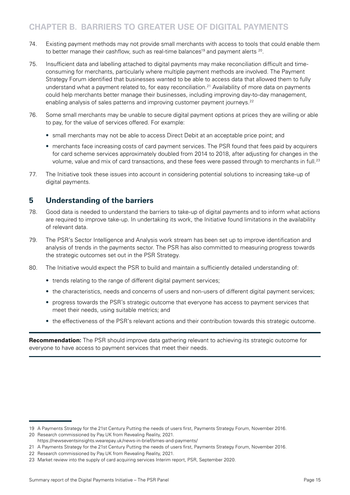# <span id="page-16-0"></span>**CHAPTER B. BARRIERS TO GREATER USE OF DIGITAL PAYMENTS**

- 74. Existing payment methods may not provide small merchants with access to tools that could enable them to better manage their cashflow, such as real-time balances<sup>19</sup> and payment alerts <sup>20</sup>.
- 75. Insufficient data and labelling attached to digital payments may make reconciliation difficult and timeconsuming for merchants, particularly where multiple payment methods are involved. The Payment Strategy Forum identified that businesses wanted to be able to access data that allowed them to fully understand what a payment related to, for easy reconciliation.21 Availability of more data on payments could help merchants better manage their businesses, including improving day-to-day management, enabling analysis of sales patterns and improving customer payment journeys.<sup>22</sup>
- 76. Some small merchants may be unable to secure digital payment options at prices they are willing or able to pay, for the value of services offered. For example:
	- small merchants may not be able to access Direct Debit at an acceptable price point; and
	- merchants face increasing costs of card payment services. The PSR found that fees paid by acquirers for card scheme services approximately doubled from 2014 to 2018, after adjusting for changes in the volume, value and mix of card transactions, and these fees were passed through to merchants in full.<sup>23</sup>
- 77. The Initiative took these issues into account in considering potential solutions to increasing take-up of digital payments.

## **5 Understanding of the barriers**

- 78. Good data is needed to understand the barriers to take-up of digital payments and to inform what actions are required to improve take-up. In undertaking its work, the Initiative found limitations in the availability of relevant data.
- 79. The PSR's Sector Intelligence and Analysis work stream has been set up to improve identification and analysis of trends in the payments sector. The PSR has also committed to measuring progress towards the strategic outcomes set out in the PSR Strategy.
- 80. The Initiative would expect the PSR to build and maintain a sufficiently detailed understanding of:
	- trends relating to the range of different digital payment services;
	- the characteristics, needs and concerns of users and non-users of different digital payment services;
	- progress towards the PSR's strategic outcome that everyone has access to payment services that meet their needs, using suitable metrics; and
	- the effectiveness of the PSR's relevant actions and their contribution towards this strategic outcome.

**Recommendation:** The PSR should improve data gathering relevant to achieving its strategic outcome for everyone to have access to payment services that meet their needs.

<sup>19</sup> A Payments Strategy for the 21st Century Putting the needs of users first, Payments Strategy Forum, November 2016.

<sup>20</sup> Research commissioned by Pay.UK from Revealing Reality, 2021. https://newseventsinsights.wearepay.uk/news-in-brief/smes-and-payments/

<sup>21</sup> A Payments Strategy for the 21st Century Putting the needs of users first, Payments Strategy Forum, November 2016.

<sup>22</sup> Research commissioned by Pay.UK from Revealing Reality, 2021.

<sup>23</sup> Market review into the supply of card acquiring services Interim report, PSR, September 2020.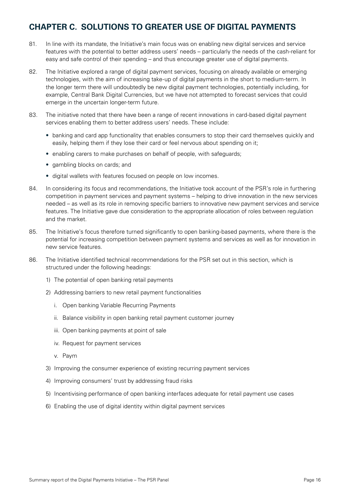# <span id="page-17-0"></span>**CHAPTER C. SOLUTIONS TO GREATER USE OF DIGITAL PAYMENTS**

- 81. In line with its mandate, the Initiative's main focus was on enabling new digital services and service features with the potential to better address users' needs – particularly the needs of the cash-reliant for easy and safe control of their spending – and thus encourage greater use of digital payments.
- 82. The Initiative explored a range of digital payment services, focusing on already available or emerging technologies, with the aim of increasing take-up of digital payments in the short to medium-term. In the longer term there will undoubtedly be new digital payment technologies, potentially including, for example, Central Bank Digital Currencies, but we have not attempted to forecast services that could emerge in the uncertain longer-term future.
- 83. The initiative noted that there have been a range of recent innovations in card-based digital payment services enabling them to better address users' needs. These include:
	- banking and card app functionality that enables consumers to stop their card themselves quickly and easily, helping them if they lose their card or feel nervous about spending on it;
	- enabling carers to make purchases on behalf of people, with safeguards;
	- gambling blocks on cards; and
	- digital wallets with features focused on people on low incomes.
- 84. In considering its focus and recommendations, the Initiative took account of the PSR's role in furthering competition in payment services and payment systems – helping to drive innovation in the new services needed – as well as its role in removing specific barriers to innovative new payment services and service features. The Initiative gave due consideration to the appropriate allocation of roles between regulation and the market.
- 85. The Initiative's focus therefore turned significantly to open banking-based payments, where there is the potential for increasing competition between payment systems and services as well as for innovation in new service features.
- 86. The Initiative identified technical recommendations for the PSR set out in this section, which is structured under the following headings:
	- 1) The potential of open banking retail payments
	- 2) Addressing barriers to new retail payment functionalities
		- i. Open banking Variable Recurring Payments
		- ii. Balance visibility in open banking retail payment customer journey
		- iii. Open banking payments at point of sale
		- iv. Request for payment services
		- v. Paym
	- 3) Improving the consumer experience of existing recurring payment services
	- 4) Improving consumers' trust by addressing fraud risks
	- 5) Incentivising performance of open banking interfaces adequate for retail payment use cases
	- 6) Enabling the use of digital identity within digital payment services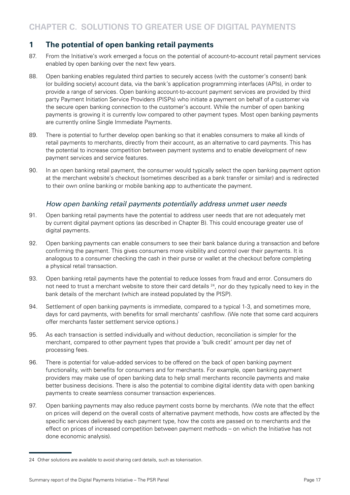# <span id="page-18-0"></span>**1 The potential of open banking retail payments**

- 87. From the Initiative's work emerged a focus on the potential of account-to-account retail payment services enabled by open banking over the next few years.
- 88. Open banking enables regulated third parties to securely access (with the customer's consent) bank (or building society) account data, via the bank's application programming interfaces (APIs), in order to provide a range of services. Open banking account-to-account payment services are provided by third party Payment Initiation Service Providers (PISPs) who initiate a payment on behalf of a customer via the secure open banking connection to the customer's account. While the number of open banking payments is growing it is currently low compared to other payment types. Most open banking payments are currently online Single Immediate Payments.
- 89. There is potential to further develop open banking so that it enables consumers to make all kinds of retail payments to merchants, directly from their account, as an alternative to card payments. This has the potential to increase competition between payment systems and to enable development of new payment services and service features.
- 90. In an open banking retail payment, the consumer would typically select the open banking payment option at the merchant website's checkout (sometimes described as a bank transfer or similar) and is redirected to their own online banking or mobile banking app to authenticate the payment.

## How open banking retail payments potentially address unmet user needs

- 91. Open banking retail payments have the potential to address user needs that are not adequately met by current digital payment options (as described in Chapter B). This could encourage greater use of digital payments.
- 92. Open banking payments can enable consumers to see their bank balance during a transaction and before confirming the payment. This gives consumers more visibility and control over their payments. It is analogous to a consumer checking the cash in their purse or wallet at the checkout before completing a physical retail transaction.
- 93. Open banking retail payments have the potential to reduce losses from fraud and error. Consumers do not need to trust a merchant website to store their card details <sup>24</sup>, nor do they typically need to key in the bank details of the merchant (which are instead populated by the PISP).
- 94. Settlement of open banking payments is immediate, compared to a typical 1-3, and sometimes more, days for card payments, with benefits for small merchants' cashflow. (We note that some card acquirers offer merchants faster settlement service options.)
- 95. As each transaction is settled individually and without deduction, reconciliation is simpler for the merchant, compared to other payment types that provide a 'bulk credit' amount per day net of processing fees.
- 96. There is potential for value-added services to be offered on the back of open banking payment functionality, with benefits for consumers and for merchants. For example, open banking payment providers may make use of open banking data to help small merchants reconcile payments and make better business decisions. There is also the potential to combine digital identity data with open banking payments to create seamless consumer transaction experiences.
- 97. Open banking payments may also reduce payment costs borne by merchants. (We note that the effect on prices will depend on the overall costs of alternative payment methods, how costs are affected by the specific services delivered by each payment type, how the costs are passed on to merchants and the effect on prices of increased competition between payment methods – on which the Initiative has not done economic analysis).

<sup>24</sup> Other solutions are available to avoid sharing card details, such as tokenisation.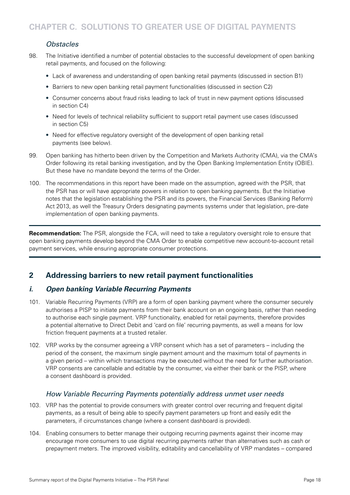# *Obstacles*

- <span id="page-19-0"></span>98. The Initiative identified a number of potential obstacles to the successful development of open banking retail payments, and focused on the following:
	- Lack of awareness and understanding of open banking retail payments (discussed in section B1)
	- Barriers to new open banking retail payment functionalities (discussed in section C2)
	- Consumer concerns about fraud risks leading to lack of trust in new payment options (discussed in section C4)
	- Need for levels of technical reliability sufficient to support retail payment use cases (discussed in section C5)
	- Need for effective regulatory oversight of the development of open banking retail payments (see below).
- 99. Open banking has hitherto been driven by the Competition and Markets Authority (CMA), via the CMA's Order following its retail banking investigation, and by the Open Banking Implementation Entity (OBIE). But these have no mandate beyond the terms of the Order.
- 100. The recommendations in this report have been made on the assumption, agreed with the PSR, that the PSR has or will have appropriate powers in relation to open banking payments. But the Initiative notes that the legislation establishing the PSR and its powers, the Financial Services (Banking Reform) Act 2013, as well the Treasury Orders designating payments systems under that legislation, pre-date implementation of open banking payments.

**Recommendation:** The PSR, alongside the FCA, will need to take a regulatory oversight role to ensure that open banking payments develop beyond the CMA Order to enable competitive new account-to-account retail payment services, while ensuring appropriate consumer protections.

# **2 Addressing barriers to new retail payment functionalities**

## **i. Open banking Variable Recurring Payments**

- 101. Variable Recurring Payments (VRP) are a form of open banking payment where the consumer securely authorises a PISP to initiate payments from their bank account on an ongoing basis, rather than needing to authorise each single payment. VRP functionality, enabled for retail payments, therefore provides a potential alternative to Direct Debit and 'card on file' recurring payments, as well a means for low friction frequent payments at a trusted retailer.
- 102. VRP works by the consumer agreeing a VRP consent which has a set of parameters including the period of the consent, the maximum single payment amount and the maximum total of payments in a given period – within which transactions may be executed without the need for further authorisation. VRP consents are cancellable and editable by the consumer, via either their bank or the PISP, where a consent dashboard is provided.

## How Variable Recurring Payments potentially address unmet user needs

- 103. VRP has the potential to provide consumers with greater control over recurring and frequent digital payments, as a result of being able to specify payment parameters up front and easily edit the parameters, if circumstances change (where a consent dashboard is provided).
- 104. Enabling consumers to better manage their outgoing recurring payments against their income may encourage more consumers to use digital recurring payments rather than alternatives such as cash or prepayment meters. The improved visibility, editability and cancellability of VRP mandates – compared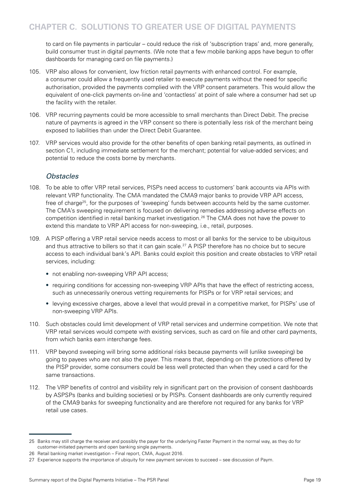to card on file payments in particular – could reduce the risk of 'subscription traps' and, more generally, build consumer trust in digital payments. (We note that a few mobile banking apps have begun to offer dashboards for managing card on file payments.)

- 105. VRP also allows for convenient, low friction retail payments with enhanced control. For example, a consumer could allow a frequently used retailer to execute payments without the need for specific authorisation, provided the payments complied with the VRP consent parameters. This would allow the equivalent of one-click payments on-line and 'contactless' at point of sale where a consumer had set up the facility with the retailer.
- 106. VRP recurring payments could be more accessible to small merchants than Direct Debit. The precise nature of payments is agreed in the VRP consent so there is potentially less risk of the merchant being exposed to liabilities than under the Direct Debit Guarantee.
- 107. VRP services would also provide for the other benefits of open banking retail payments, as outlined in section C1, including immediate settlement for the merchant; potential for value-added services; and potential to reduce the costs borne by merchants.

## *Obstacles*

- 108. To be able to offer VRP retail services, PISPs need access to customers' bank accounts via APIs with relevant VRP functionality. The CMA mandated the CMA9 major banks to provide VRP API access, free of charge<sup>25</sup>, for the purposes of 'sweeping' funds between accounts held by the same customer. The CMA's sweeping requirement is focused on delivering remedies addressing adverse effects on competition identified in retail banking market investigation.<sup>26</sup> The CMA does not have the power to extend this mandate to VRP API access for non-sweeping, i.e., retail, purposes.
- 109. A PISP offering a VRP retail service needs access to most or all banks for the service to be ubiquitous and thus attractive to billers so that it can gain scale.<sup>27</sup> A PISP therefore has no choice but to secure access to each individual bank's API. Banks could exploit this position and create obstacles to VRP retail services, including:
	- not enabling non-sweeping VRP API access;
	- requiring conditions for accessing non-sweeping VRP APIs that have the effect of restricting access, such as unnecessarily onerous vetting requirements for PISPs or for VRP retail services; and
	- levying excessive charges, above a level that would prevail in a competitive market, for PISPs' use of non-sweeping VRP APIs.
- 110. Such obstacles could limit development of VRP retail services and undermine competition. We note that VRP retail services would compete with existing services, such as card on file and other card payments, from which banks earn interchange fees.
- 111. VRP beyond sweeping will bring some additional risks because payments will (unlike sweeping) be going to payees who are not also the payer. This means that, depending on the protections offered by the PISP provider, some consumers could be less well protected than when they used a card for the same transactions.
- 112. The VRP benefits of control and visibility rely in significant part on the provision of consent dashboards by ASPSPs (banks and building societies) or by PISPs. Consent dashboards are only currently required of the CMA9 banks for sweeping functionality and are therefore not required for any banks for VRP retail use cases.

<sup>25</sup> Banks may still charge the receiver and possibly the payer for the underlying Faster Payment in the normal way, as they do for customer-initiated payments and open banking single payments.

<sup>26</sup> Retail banking market investigation – Final report, CMA, August 2016.

<sup>27</sup> Experience supports the importance of ubiquity for new payment services to succeed – see discussion of Paym.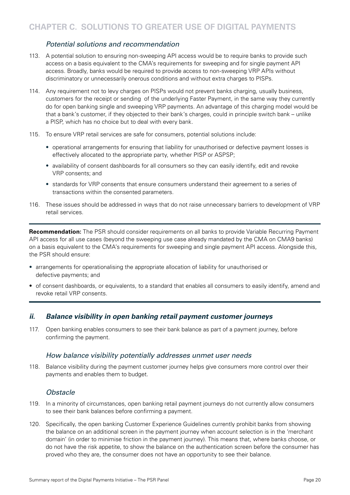## *Potential solutions and recommendation*

- <span id="page-21-0"></span>113. A potential solution to ensuring non-sweeping API access would be to require banks to provide such access on a basis equivalent to the CMA's requirements for sweeping and for single payment API access. Broadly, banks would be required to provide access to non-sweeping VRP APIs without discriminatory or unnecessarily onerous conditions and without extra charges to PISPs.
- 114. Any requirement not to levy charges on PISPs would not prevent banks charging, usually business, customers for the receipt or sending of the underlying Faster Payment, in the same way they currently do for open banking single and sweeping VRP payments. An advantage of this charging model would be that a bank's customer, if they objected to their bank's charges, could in principle switch bank – unlike a PISP, which has no choice but to deal with every bank.
- 115. To ensure VRP retail services are safe for consumers, potential solutions include:
	- operational arrangements for ensuring that liability for unauthorised or defective payment losses is effectively allocated to the appropriate party, whether PISP or ASPSP;
	- availability of consent dashboards for all consumers so they can easily identify, edit and revoke VRP consents; and
	- standards for VRP consents that ensure consumers understand their agreement to a series of transactions within the consented parameters.
- 116. These issues should be addressed in ways that do not raise unnecessary barriers to development of VRP retail services.

**Recommendation:** The PSR should consider requirements on all banks to provide Variable Recurring Payment API access for all use cases (beyond the sweeping use case already mandated by the CMA on CMA9 banks) on a basis equivalent to the CMA's requirements for sweeping and single payment API access. Alongside this, the PSR should ensure:

- arrangements for operationalising the appropriate allocation of liability for unauthorised or defective payments; and
- of consent dashboards, or equivalents, to a standard that enables all consumers to easily identify, amend and revoke retail VRP consents.

## **ii. Balance visibility in open banking retail payment customer journeys**

117. Open banking enables consumers to see their bank balance as part of a payment journey, before confirming the payment.

#### How balance visibility potentially addresses unmet user needs

118. Balance visibility during the payment customer journey helps give consumers more control over their payments and enables them to budget.

#### *Obstacle*

- 119. In a minority of circumstances, open banking retail payment journeys do not currently allow consumers to see their bank balances before confirming a payment.
- 120. Specifically, the open banking Customer Experience Guidelines currently prohibit banks from showing the balance on an additional screen in the payment journey when account selection is in the 'merchant domain' (in order to minimise friction in the payment journey). This means that, where banks choose, or do not have the risk appetite, to show the balance on the authentication screen before the consumer has proved who they are, the consumer does not have an opportunity to see their balance.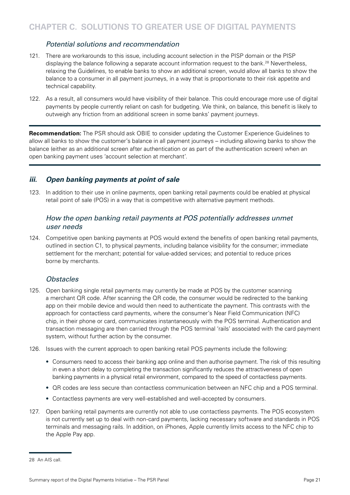## Potential solutions and recommendation

- <span id="page-22-0"></span>121. There are workarounds to this issue, including account selection in the PISP domain or the PISP displaying the balance following a separate account information request to the bank.<sup>28</sup> Nevertheless, relaxing the Guidelines, to enable banks to show an additional screen, would allow all banks to show the balance to a consumer in all payment journeys, in a way that is proportionate to their risk appetite and technical capability.
- 122. As a result, all consumers would have visibility of their balance. This could encourage more use of digital payments by people currently reliant on cash for budgeting. We think, on balance, this benefit is likely to outweigh any friction from an additional screen in some banks' payment journeys.

**Recommendation:** The PSR should ask OBIE to consider updating the Customer Experience Guidelines to allow all banks to show the customer's balance in all payment journeys – including allowing banks to show the balance (either as an additional screen after authentication or as part of the authentication screen) when an open banking payment uses 'account selection at merchant'.

## **iii. Open banking payments at point of sale**

123. In addition to their use in online payments, open banking retail payments could be enabled at physical retail point of sale (POS) in a way that is competitive with alternative payment methods.

## How the open banking retail payments at POS potentially addresses unmet user needs

124. Competitive open banking payments at POS would extend the benefits of open banking retail payments, outlined in section C1, to physical payments, including balance visibility for the consumer; immediate settlement for the merchant; potential for value-added services; and potential to reduce prices borne by merchants.

#### *Obstacles*

- 125. Open banking single retail payments may currently be made at POS by the customer scanning a merchant QR code. After scanning the QR code, the consumer would be redirected to the banking app on their mobile device and would then need to authenticate the payment. This contrasts with the approach for contactless card payments, where the consumer's Near Field Communication (NFC) chip, in their phone or card, communicates instantaneously with the POS terminal. Authentication and transaction messaging are then carried through the POS terminal 'rails' associated with the card payment system, without further action by the consumer.
- 126. Issues with the current approach to open banking retail POS payments include the following:
	- Consumers need to access their banking app online and then authorise payment. The risk of this resulting in even a short delay to completing the transaction significantly reduces the attractiveness of open banking payments in a physical retail environment, compared to the speed of contactless payments.
	- QR codes are less secure than contactless communication between an NFC chip and a POS terminal.
	- Contactless payments are very well-established and well-accepted by consumers.
- 127. Open banking retail payments are currently not able to use contactless payments. The POS ecosystem is not currently set up to deal with non-card payments, lacking necessary software and standards in POS terminals and messaging rails. In addition, on iPhones, Apple currently limits access to the NFC chip to the Apple Pay app.

<sup>28</sup> An AIS call.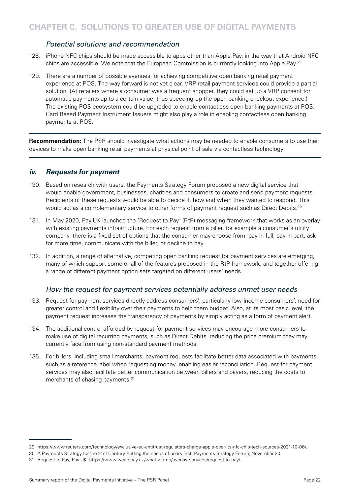## Potential solutions and recommendation

- <span id="page-23-0"></span>128. iPhone NFC chips should be made accessible to apps other than Apple Pay, in the way that Android NFC chips are accessible. We note that the European Commission is currently looking into Apple Pay.29
- 129. There are a number of possible avenues for achieving competitive open banking retail payment experience at POS. The way forward is not yet clear. VRP retail payment services could provide a partial solution. (At retailers where a consumer was a frequent shopper, they could set up a VRP consent for automatic payments up to a certain value, thus speeding-up the open banking checkout experience.) The existing POS ecosystem could be upgraded to enable contactless open banking payments at POS. Card Based Payment Instrument Issuers might also play a role in enabling contactless open banking payments at POS.

**Recommendation:** The PSR should investigate what actions may be needed to enable consumers to use their devices to make open banking retail payments at physical point of sale via contactless technology.

#### **iv. Requests for payment**

- 130. Based on research with users, the Payments Strategy Forum proposed a new digital service that would enable government, businesses, charities and consumers to create and send payment requests. Recipients of these requests would be able to decide if, how and when they wanted to respond. This would act as a complementary service to other forms of payment request such as Direct Debits.<sup>30</sup>
- 131. In May 2020, Pay.UK launched the 'Request to Pay' (RtP) messaging framework that works as an overlay with existing payments infrastructure. For each request from a biller, for example a consumer's utility company, there is a fixed set of options that the consumer may choose from: pay in full, pay in part, ask for more time, communicate with the biller, or decline to pay.
- 132. In addition, a range of alternative, competing open banking request for payment services are emerging, many of which support some or all of the features proposed in the RtP framework, and together offering a range of different payment option sets targeted on different users' needs.

## How the request for payment services potentially address unmet user needs

- 133. Request for payment services directly address consumers', particularly low-income consumers', need for greater control and flexibility over their payments to help them budget. Also, at its most basic level, the payment request increases the transparency of payments by simply acting as a form of payment alert.
- 134. The additional control afforded by request for payment services may encourage more consumers to make use of digital recurring payments, such as Direct Debits, reducing the price premium they may currently face from using non-standard payment methods.
- 135. For billers, including small merchants, payment requests facilitate better data associated with payments, such as a reference label when requesting money, enabling easier reconciliation. Request for payment services may also facilitate better communication between billers and payers, reducing the costs to merchants of chasing payments.<sup>31</sup>

<sup>29</sup> https://www.reuters.com/technology/exclusive-eu-antitrust-regulators-charge-apple-over-its-nfc-chip-tech-sources-2021-10-06/.

<sup>30</sup> A Payments Strategy for the 21st Century Putting the needs of users first, Payments Strategy Forum, November 20.

<sup>31</sup> Request to Pay, Pay.UK https://www.wearepay.uk/what-we-do/overlay-services/request-to-pay/.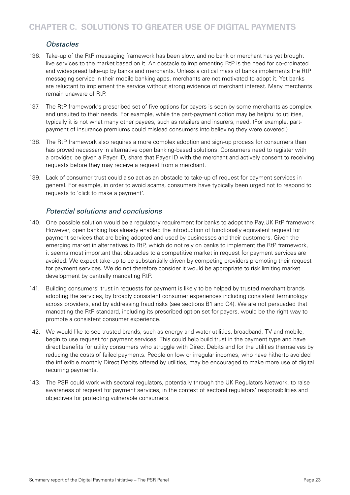# *Obstacles*

- 136. Take-up of the RtP messaging framework has been slow, and no bank or merchant has yet brought live services to the market based on it. An obstacle to implementing RtP is the need for co-ordinated and widespread take-up by banks and merchants. Unless a critical mass of banks implements the RtP messaging service in their mobile banking apps, merchants are not motivated to adopt it. Yet banks are reluctant to implement the service without strong evidence of merchant interest. Many merchants remain unaware of RtP.
- 137. The RtP framework's prescribed set of five options for payers is seen by some merchants as complex and unsuited to their needs. For example, while the part-payment option may be helpful to utilities, typically it is not what many other payees, such as retailers and insurers, need. (For example, partpayment of insurance premiums could mislead consumers into believing they were covered.)
- 138. The RtP framework also requires a more complex adoption and sign-up process for consumers than has proved necessary in alternative open banking-based solutions. Consumers need to register with a provider, be given a Payer ID, share that Payer ID with the merchant and actively consent to receiving requests before they may receive a request from a merchant.
- 139. Lack of consumer trust could also act as an obstacle to take-up of request for payment services in general. For example, in order to avoid scams, consumers have typically been urged not to respond to requests to 'click to make a payment'.

## *Potential solutions and conclusions*

- 140. One possible solution would be a regulatory requirement for banks to adopt the Pay.UK RtP framework. However, open banking has already enabled the introduction of functionally equivalent request for payment services that are being adopted and used by businesses and their customers. Given the emerging market in alternatives to RtP, which do not rely on banks to implement the RtP framework, it seems most important that obstacles to a competitive market in request for payment services are avoided. We expect take-up to be substantially driven by competing providers promoting their request for payment services. We do not therefore consider it would be appropriate to risk limiting market development by centrally mandating RtP.
- 141. Building consumers' trust in requests for payment is likely to be helped by trusted merchant brands adopting the services, by broadly consistent consumer experiences including consistent terminology across providers, and by addressing fraud risks (see sections B1 and C4). We are not persuaded that mandating the RtP standard, including its prescribed option set for payers, would be the right way to promote a consistent consumer experience.
- 142. We would like to see trusted brands, such as energy and water utilities, broadband, TV and mobile, begin to use request for payment services. This could help build trust in the payment type and have direct benefits for utility consumers who struggle with Direct Debits and for the utilities themselves by reducing the costs of failed payments. People on low or irregular incomes, who have hitherto avoided the inflexible monthly Direct Debits offered by utilities, may be encouraged to make more use of digital recurring payments.
- 143. The PSR could work with sectoral regulators, potentially through the UK Regulators Network, to raise awareness of request for payment services, in the context of sectoral regulators' responsibilities and objectives for protecting vulnerable consumers.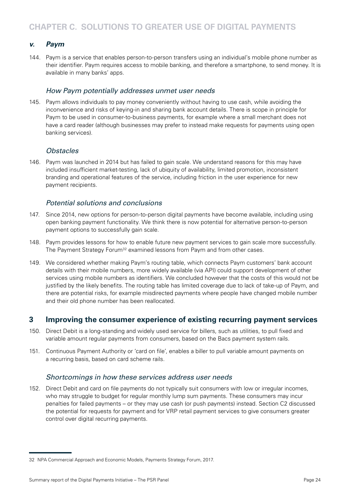## <span id="page-25-0"></span>**v. Paym**

144. Paym is a service that enables person-to-person transfers using an individual's mobile phone number as their identifier. Paym requires access to mobile banking, and therefore a smartphone, to send money. It is available in many banks' apps.

#### How Paym potentially addresses unmet user needs

145. Paym allows individuals to pay money conveniently without having to use cash, while avoiding the inconvenience and risks of keying-in and sharing bank account details. There is scope in principle for Paym to be used in consumer-to-business payments, for example where a small merchant does not have a card reader (although businesses may prefer to instead make requests for payments using open banking services).

## *Obstacles*

146. Paym was launched in 2014 but has failed to gain scale. We understand reasons for this may have included insufficient market-testing, lack of ubiquity of availability, limited promotion, inconsistent branding and operational features of the service, including friction in the user experience for new payment recipients.

## *Potential solutions and conclusions*

- 147. Since 2014, new options for person-to-person digital payments have become available, including using open banking payment functionality. We think there is now potential for alternative person-to-person payment options to successfully gain scale.
- 148. Paym provides lessons for how to enable future new payment services to gain scale more successfully. The Payment Strategy Forum<sup>32</sup> examined lessons from Paym and from other cases.
- 149. We considered whether making Paym's routing table, which connects Paym customers' bank account details with their mobile numbers, more widely available (via API) could support development of other services using mobile numbers as identifiers. We concluded however that the costs of this would not be justified by the likely benefits. The routing table has limited coverage due to lack of take-up of Paym, and there are potential risks, for example misdirected payments where people have changed mobile number and their old phone number has been reallocated.

# **3 Improving the consumer experience of existing recurring payment services**

- 150. Direct Debit is a long-standing and widely used service for billers, such as utilities, to pull fixed and variable amount regular payments from consumers, based on the Bacs payment system rails.
- 151. Continuous Payment Authority or 'card on file', enables a biller to pull variable amount payments on a recurring basis, based on card scheme rails.

## *Shortcomings in how these services address user needs*

152. Direct Debit and card on file payments do not typically suit consumers with low or irregular incomes, who may struggle to budget for regular monthly lump sum payments. These consumers may incur penalties for failed payments – or they may use cash (or push payments) instead. Section C2 discussed the potential for requests for payment and for VRP retail payment services to give consumers greater control over digital recurring payments.

<sup>32</sup> NPA Commercial Approach and Economic Models, Payments Strategy Forum, 2017.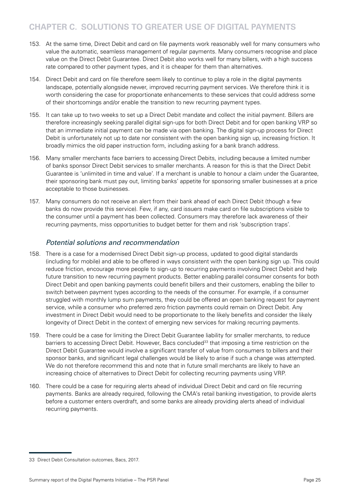# **CHAPTER C. SOLUTIONS TO GREATER USE OF DIGITAL PAYMENTS**

- 153. At the same time, Direct Debit and card on file payments work reasonably well for many consumers who value the automatic, seamless management of regular payments. Many consumers recognise and place value on the Direct Debit Guarantee. Direct Debit also works well for many billers, with a high success rate compared to other payment types, and it is cheaper for them than alternatives.
- 154. Direct Debit and card on file therefore seem likely to continue to play a role in the digital payments landscape, potentially alongside newer, improved recurring payment services. We therefore think it is worth considering the case for proportionate enhancements to these services that could address some of their shortcomings and/or enable the transition to new recurring payment types.
- 155. It can take up to two weeks to set up a Direct Debit mandate and collect the initial payment. Billers are therefore increasingly seeking parallel digital sign-ups for both Direct Debit and for open banking VRP so that an immediate initial payment can be made via open banking. The digital sign-up process for Direct Debit is unfortunately not up to date nor consistent with the open banking sign up, increasing friction. It broadly mimics the old paper instruction form, including asking for a bank branch address.
- 156. Many smaller merchants face barriers to accessing Direct Debits, including because a limited number of banks sponsor Direct Debit services to smaller merchants. A reason for this is that the Direct Debit Guarantee is 'unlimited in time and value'. If a merchant is unable to honour a claim under the Guarantee, their sponsoring bank must pay out, limiting banks' appetite for sponsoring smaller businesses at a price acceptable to those businesses.
- 157. Many consumers do not receive an alert from their bank ahead of each Direct Debit (though a few banks do now provide this service). Few, if any, card issuers make card on file subscriptions visible to the consumer until a payment has been collected. Consumers may therefore lack awareness of their recurring payments, miss opportunities to budget better for them and risk 'subscription traps'.

## Potential solutions and recommendation

- 158. There is a case for a modernised Direct Debit sign-up process, updated to good digital standards (including for mobile) and able to be offered in ways consistent with the open banking sign up. This could reduce friction, encourage more people to sign-up to recurring payments involving Direct Debit and help future transition to new recurring payment products. Better enabling parallel consumer consents for both Direct Debit and open banking payments could benefit billers and their customers, enabling the biller to switch between payment types according to the needs of the consumer. For example, if a consumer struggled with monthly lump sum payments, they could be offered an open banking request for payment service, while a consumer who preferred zero friction payments could remain on Direct Debit. Any investment in Direct Debit would need to be proportionate to the likely benefits and consider the likely longevity of Direct Debit in the context of emerging new services for making recurring payments.
- 159. There could be a case for limiting the Direct Debit Guarantee liability for smaller merchants, to reduce barriers to accessing Direct Debit. However, Bacs concluded<sup>33</sup> that imposing a time restriction on the Direct Debit Guarantee would involve a significant transfer of value from consumers to billers and their sponsor banks, and significant legal challenges would be likely to arise if such a change was attempted. We do not therefore recommend this and note that in future small merchants are likely to have an increasing choice of alternatives to Direct Debit for collecting recurring payments using VRP.
- 160. There could be a case for requiring alerts ahead of individual Direct Debit and card on file recurring payments. Banks are already required, following the CMA's retail banking investigation, to provide alerts before a customer enters overdraft, and some banks are already providing alerts ahead of individual recurring payments.

<sup>33</sup> Direct Debit Consultation outcomes, Bacs, 2017.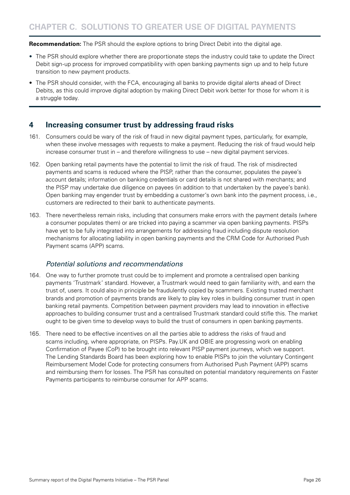<span id="page-27-0"></span>**Recommendation:** The PSR should the explore options to bring Direct Debit into the digital age.

- The PSR should explore whether there are proportionate steps the industry could take to update the Direct Debit sign-up process for improved compatibility with open banking payments sign up and to help future transition to new payment products.
- The PSR should consider, with the FCA, encouraging all banks to provide digital alerts ahead of Direct Debits, as this could improve digital adoption by making Direct Debit work better for those for whom it is a struggle today.

# **4 Increasing consumer trust by addressing fraud risks**

- 161. Consumers could be wary of the risk of fraud in new digital payment types, particularly, for example, when these involve messages with requests to make a payment. Reducing the risk of fraud would help increase consumer trust in – and therefore willingness to use – new digital payment services.
- 162. Open banking retail payments have the potential to limit the risk of fraud. The risk of misdirected payments and scams is reduced where the PISP, rather than the consumer, populates the payee's account details; information on banking credentials or card details is not shared with merchants; and the PISP may undertake due diligence on payees (in addition to that undertaken by the payee's bank). Open banking may engender trust by embedding a customer's own bank into the payment process, i.e., customers are redirected to their bank to authenticate payments.
- 163. There nevertheless remain risks, including that consumers make errors with the payment details (where a consumer populates them) or are tricked into paying a scammer via open banking payments. PISPs have yet to be fully integrated into arrangements for addressing fraud including dispute resolution mechanisms for allocating liability in open banking payments and the CRM Code for Authorised Push Payment scams (APP) scams.

# Potential solutions and recommendations

- 164. One way to further promote trust could be to implement and promote a centralised open banking payments 'Trustmark' standard. However, a Trustmark would need to gain familiarity with, and earn the trust of, users. It could also in principle be fraudulently copied by scammers. Existing trusted merchant brands and promotion of payments brands are likely to play key roles in building consumer trust in open banking retail payments. Competition between payment providers may lead to innovation in effective approaches to building consumer trust and a centralised Trustmark standard could stifle this. The market ought to be given time to develop ways to build the trust of consumers in open banking payments.
- 165. There need to be effective incentives on all the parties able to address the risks of fraud and scams including, where appropriate, on PISPs. Pay.UK and OBIE are progressing work on enabling Confirmation of Payee (CoP) to be brought into relevant PISP payment journeys, which we support. The Lending Standards Board has been exploring how to enable PISPs to join the voluntary Contingent Reimbursement Model Code for protecting consumers from Authorised Push Payment (APP) scams and reimbursing them for losses. The PSR has consulted on potential mandatory requirements on Faster Payments participants to reimburse consumer for APP scams.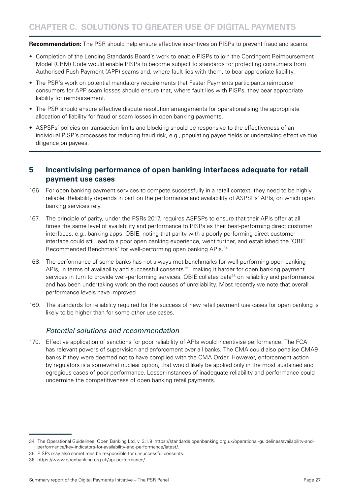<span id="page-28-0"></span>**Recommendation:** The PSR should help ensure effective incentives on PISPs to prevent fraud and scams:

- Completion of the Lending Standards Board's work to enable PISPs to join the Contingent Reimbursement Model (CRM) Code would enable PISPs to become subject to standards for protecting consumers from Authorised Push Payment (APP) scams and, where fault lies with them, to bear appropriate liability.
- The PSR's work on potential mandatory requirements that Faster Payments participants reimburse consumers for APP scam losses should ensure that, where fault lies with PISPs, they bear appropriate liability for reimbursement.
- The PSR should ensure effective dispute resolution arrangements for operationalising the appropriate allocation of liability for fraud or scam losses in open banking payments.
- ASPSPs' policies on transaction limits and blocking should be responsive to the effectiveness of an individual PISP's processes for reducing fraud risk, e.g., populating payee fields or undertaking effective due diligence on payees.

# **5 Incentivising performance of open banking interfaces adequate for retail payment use cases**

- 166. For open banking payment services to compete successfully in a retail context, they need to be highly reliable. Reliability depends in part on the performance and availability of ASPSPs' APIs, on which open banking services rely.
- 167. The principle of parity, under the PSRs 2017, requires ASPSPs to ensure that their APIs offer at all times the same level of availability and performance to PISPs as their best-performing direct customer interfaces, e.g., banking apps. OBIE, noting that parity with a poorly performing direct customer interface could still lead to a poor open banking experience, went further, and established the 'OBIE Recommended Benchmark' for well-performing open banking APIs.<sup>34</sup>
- 168. The performance of some banks has not always met benchmarks for well-performing open banking APIs, in terms of availability and successful consents <sup>35</sup>, making it harder for open banking payment services in turn to provide well-performing services. OBIE collates data<sup>36</sup> on reliability and performance and has been undertaking work on the root causes of unreliability. Most recently we note that overall performance levels have improved.
- 169. The standards for reliability required for the success of new retail payment use cases for open banking is likely to be higher than for some other use cases.

## *Potential solutions and recommendation*

170. Effective application of sanctions for poor reliability of APIs would incentivise performance. The FCA has relevant powers of supervision and enforcement over all banks. The CMA could also penalise CMA9 banks if they were deemed not to have complied with the CMA Order. However, enforcement action by regulators is a somewhat nuclear option, that would likely be applied only in the most sustained and egregious cases of poor performance. Lesser instances of inadequate reliability and performance could undermine the competitiveness of open banking retail payments.

<sup>34</sup> The Operational Guidelines, Open Banking Ltd, v. 3.1.9 https://standards.openbanking.org.uk/operational-guidelines/availability-andperformance/key-indicators-for-availability-and-performance/latest/.

<sup>35</sup> PISPs may also sometimes be responsible for unsuccessful consents.

<sup>36</sup> https://www.openbanking.org.uk/api-performance/.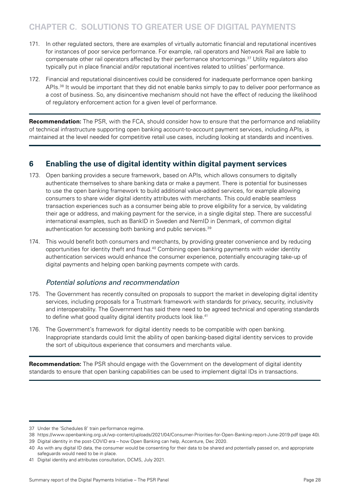# <span id="page-29-0"></span>**CHAPTER C. SOLUTIONS TO GREATER USE OF DIGITAL PAYMENTS**

- 171. In other regulated sectors, there are examples of virtually automatic financial and reputational incentives for instances of poor service performance. For example, rail operators and Network Rail are liable to compensate other rail operators affected by their performance shortcomings.37 Utility regulators also typically put in place financial and/or reputational incentives related to utilities' performance.
- 172. Financial and reputational disincentives could be considered for inadequate performance open banking APIs.<sup>38</sup> It would be important that they did not enable banks simply to pay to deliver poor performance as a cost of business. So, any disincentive mechanism should not have the effect of reducing the likelihood of regulatory enforcement action for a given level of performance.

**Recommendation:** The PSR, with the FCA, should consider how to ensure that the performance and reliability of technical infrastructure supporting open banking account-to-account payment services, including APIs, is maintained at the level needed for competitive retail use cases, including looking at standards and incentives.

# **6 Enabling the use of digital identity within digital payment services**

- 173. Open banking provides a secure framework, based on APIs, which allows consumers to digitally authenticate themselves to share banking data or make a payment. There is potential for businesses to use the open banking framework to build additional value-added services, for example allowing consumers to share wider digital identity attributes with merchants. This could enable seamless transaction experiences such as a consumer being able to prove eligibility for a service, by validating their age or address, and making payment for the service, in a single digital step. There are successful international examples, such as BankID in Sweden and NemID in Denmark, of common digital authentication for accessing both banking and public services.<sup>39</sup>
- 174. This would benefit both consumers and merchants, by providing greater convenience and by reducing opportunities for identity theft and fraud.40 Combining open banking payments with wider identity authentication services would enhance the consumer experience, potentially encouraging take-up of digital payments and helping open banking payments compete with cards.

## *Potential solutions and recommendation*

- 175. The Government has recently consulted on proposals to support the market in developing digital identity services, including proposals for a Trustmark framework with standards for privacy, security, inclusivity and interoperability. The Government has said there need to be agreed technical and operating standards to define what good quality digital identity products look like.<sup>41</sup>
- 176. The Government's framework for digital identity needs to be compatible with open banking. Inappropriate standards could limit the ability of open banking-based digital identity services to provide the sort of ubiquitous experience that consumers and merchants value.

**Recommendation:** The PSR should engage with the Government on the development of digital identity standards to ensure that open banking capabilities can be used to implement digital IDs in transactions.

<sup>37</sup> Under the 'Schedules 8' train performance regime.

<sup>38</sup> https://www.openbanking.org.uk/wp-content/uploads/2021/04/Consumer-Priorities-for-Open-Banking-report-June-2019.pdf (page 40).

<sup>39</sup> Digital identity in the post-COVID era – how Open Banking can help, Accenture, Dec 2020.

<sup>40</sup> As with any digital ID data, the consumer would be consenting for their data to be shared and potentially passed on, and appropriate safeguards would need to be in place.

<sup>41</sup> Digital identity and attributes consultation, DCMS, July 2021.